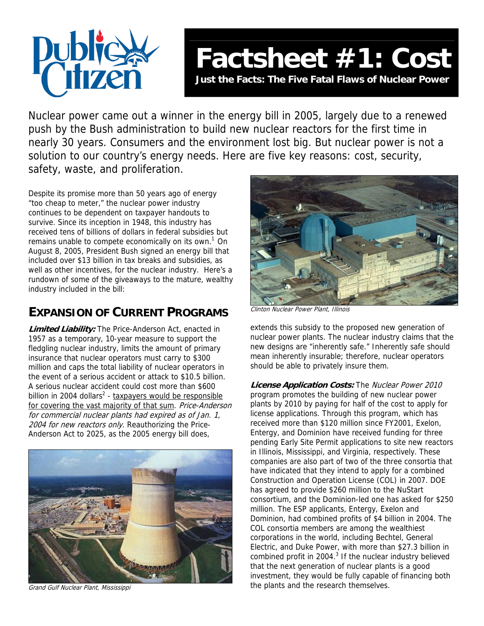

Nuclear power came out a winner in the energy bill in 2005, largely due to a renewed push by the Bush administration to build new nuclear reactors for the first time in nearly 30 years. Consumers and the environment lost big. But nuclear power is not a solution to our country's energy needs. Here are five key reasons: cost, security, safety, waste, and proliferation.

Despite its promise more than 50 years ago of energy "too cheap to meter," the nuclear power industry continues to be dependent on taxpayer handouts to survive. Since its inception in 1948, this industry has received tens of billions of dollars in federal subsidies but remains unable to compete economically on its own.<sup>1</sup> On August 8, 2005, President Bush signed an energy bill that included over \$13 billion in tax breaks and subsidies, as well as other incentives, for the nuclear industry. Here's a rundown of some of the giveaways to the mature, wealthy industry included in the bill:

# **EXPANSION OF CURRENT PROGRAMS**

**Limited Liability:** The Price-Anderson Act, enacted in 1957 as a temporary, 10-year measure to support the fledgling nuclear industry, limits the amount of primary insurance that nuclear operators must carry to \$300 million and caps the total liability of nuclear operators in the event of a serious accident or attack to \$10.5 billion. A serious nuclear accident could cost more than \$600 billion in 2004 dollars<sup>2</sup> - taxpayers would be responsible for covering the vast majority of that sum. Price-Anderson for commercial nuclear plants had expired as of Jan. 1, 2004 for new reactors only. Reauthorizing the Price-Anderson Act to 2025, as the 2005 energy bill does,



Grand Gulf Nuclear Plant, Mississippi



Clinton Nuclear Power Plant, Illinois

extends this subsidy to the proposed new generation of nuclear power plants. The nuclear industry claims that the new designs are "inherently safe." Inherently safe should mean inherently insurable; therefore, nuclear operators should be able to privately insure them.

**License Application Costs:** The Nuclear Power 2010 program promotes the building of new nuclear power plants by 2010 by paying for half of the cost to apply for license applications. Through this program, which has received more than \$120 million since FY2001, Exelon, Entergy, and Dominion have received funding for three pending Early Site Permit applications to site new reactors in Illinois, Mississippi, and Virginia, respectively. These companies are also part of two of the three consortia that have indicated that they intend to apply for a combined Construction and Operation License (COL) in 2007. DOE has agreed to provide \$260 million to the NuStart consortium, and the Dominion-led one has asked for \$250 million. The ESP applicants, Entergy, Exelon and Dominion, had combined profits of \$4 billion in 2004. The COL consortia members are among the wealthiest corporations in the world, including Bechtel, General Electric, and Duke Power, with more than \$27.3 billion in combined profit in 2004. $3$  If the nuclear industry believed that the next generation of nuclear plants is a good investment, they would be fully capable of financing both the plants and the research themselves.